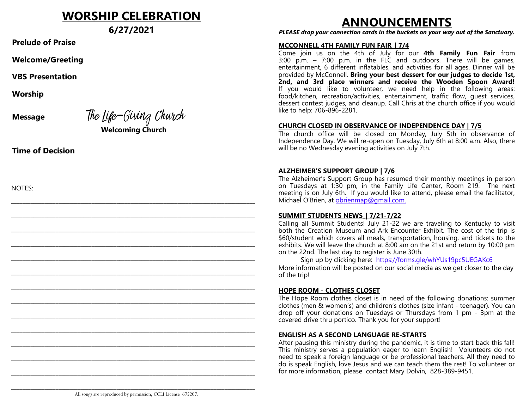# **WORSHIP CELEBRATION**

**6/27/2021**

**Prelude of Praise**

**Welcome/Greeting**

**VBS Presentation**

**Worship**

**Message** The Life-Giving Church **Welcoming Church**

\_\_\_\_\_\_\_\_\_\_\_\_\_\_\_\_\_\_\_\_\_\_\_\_\_\_\_\_\_\_\_\_\_\_\_\_\_\_\_\_\_\_\_\_\_\_\_\_\_\_\_\_\_\_\_\_\_\_\_\_\_\_\_\_\_\_\_\_\_\_\_\_\_\_\_\_\_\_\_\_\_\_\_\_\_\_\_\_

 $\mathcal{L}_\mathcal{L} = \{ \mathcal{L}_\mathcal{L} = \{ \mathcal{L}_\mathcal{L} = \{ \mathcal{L}_\mathcal{L} = \{ \mathcal{L}_\mathcal{L} = \{ \mathcal{L}_\mathcal{L} = \{ \mathcal{L}_\mathcal{L} = \{ \mathcal{L}_\mathcal{L} = \{ \mathcal{L}_\mathcal{L} = \{ \mathcal{L}_\mathcal{L} = \{ \mathcal{L}_\mathcal{L} = \{ \mathcal{L}_\mathcal{L} = \{ \mathcal{L}_\mathcal{L} = \{ \mathcal{L}_\mathcal{L} = \{ \mathcal{L}_\mathcal{$ 

\_\_\_\_\_\_\_\_\_\_\_\_\_\_\_\_\_\_\_\_\_\_\_\_\_\_\_\_\_\_\_\_\_\_\_\_\_\_\_\_\_\_\_\_\_\_\_\_\_\_\_\_\_\_\_\_\_\_\_\_\_\_\_\_\_\_\_\_\_\_\_\_\_\_\_\_\_\_\_\_\_\_\_\_\_\_\_\_

\_\_\_\_\_\_\_\_\_\_\_\_\_\_\_\_\_\_\_\_\_\_\_\_\_\_\_\_\_\_\_\_\_\_\_\_\_\_\_\_\_\_\_\_\_\_\_\_\_\_\_\_\_\_\_\_\_\_\_\_\_\_\_\_\_\_\_\_\_\_\_\_\_\_\_\_\_\_\_\_\_\_\_\_\_\_\_\_

\_\_\_\_\_\_\_\_\_\_\_\_\_\_\_\_\_\_\_\_\_\_\_\_\_\_\_\_\_\_\_\_\_\_\_\_\_\_\_\_\_\_\_\_\_\_\_\_\_\_\_\_\_\_\_\_\_\_\_\_\_\_\_\_\_\_\_\_\_\_\_\_\_\_\_\_\_\_\_\_\_\_\_\_\_\_\_\_

\_\_\_\_\_\_\_\_\_\_\_\_\_\_\_\_\_\_\_\_\_\_\_\_\_\_\_\_\_\_\_\_\_\_\_\_\_\_\_\_\_\_\_\_\_\_\_\_\_\_\_\_\_\_\_\_\_\_\_\_\_\_\_\_\_\_\_\_\_\_\_\_\_\_\_\_\_\_\_\_\_\_\_\_\_\_\_\_

\_\_\_\_\_\_\_\_\_\_\_\_\_\_\_\_\_\_\_\_\_\_\_\_\_\_\_\_\_\_\_\_\_\_\_\_\_\_\_\_\_\_\_\_\_\_\_\_\_\_\_\_\_\_\_\_\_\_\_\_\_\_\_\_\_\_\_\_\_\_\_\_\_\_\_\_\_\_\_\_\_\_\_\_\_\_\_\_

\_\_\_\_\_\_\_\_\_\_\_\_\_\_\_\_\_\_\_\_\_\_\_\_\_\_\_\_\_\_\_\_\_\_\_\_\_\_\_\_\_\_\_\_\_\_\_\_\_\_\_\_\_\_\_\_\_\_\_\_\_\_\_\_\_\_\_\_\_\_\_\_\_\_\_\_\_\_\_\_\_\_\_\_\_\_\_\_

\_\_\_\_\_\_\_\_\_\_\_\_\_\_\_\_\_\_\_\_\_\_\_\_\_\_\_\_\_\_\_\_\_\_\_\_\_\_\_\_\_\_\_\_\_\_\_\_\_\_\_\_\_\_\_\_\_\_\_\_\_\_\_\_\_\_\_\_\_\_\_\_\_\_\_\_\_\_\_\_\_\_\_\_\_\_\_\_

\_\_\_\_\_\_\_\_\_\_\_\_\_\_\_\_\_\_\_\_\_\_\_\_\_\_\_\_\_\_\_\_\_\_\_\_\_\_\_\_\_\_\_\_\_\_\_\_\_\_\_\_\_\_\_\_\_\_\_\_\_\_\_\_\_\_\_\_\_\_\_\_\_\_\_\_\_\_\_\_\_\_\_\_\_\_\_\_

\_\_\_\_\_\_\_\_\_\_\_\_\_\_\_\_\_\_\_\_\_\_\_\_\_\_\_\_\_\_\_\_\_\_\_\_\_\_\_\_\_\_\_\_\_\_\_\_\_\_\_\_\_\_\_\_\_\_\_\_\_\_\_\_\_\_\_\_\_\_\_\_\_\_\_\_\_\_\_\_\_\_\_\_\_\_\_\_

\_\_\_\_\_\_\_\_\_\_\_\_\_\_\_\_\_\_\_\_\_\_\_\_\_\_\_\_\_\_\_\_\_\_\_\_\_\_\_\_\_\_\_\_\_\_\_\_\_\_\_\_\_\_\_\_\_\_\_\_\_\_\_\_\_\_\_\_\_\_\_\_\_\_\_\_\_\_\_\_\_\_\_\_\_\_\_\_

\_\_\_\_\_\_\_\_\_\_\_\_\_\_\_\_\_\_\_\_\_\_\_\_\_\_\_\_\_\_\_\_\_\_\_\_\_\_\_\_\_\_\_\_\_\_\_\_\_\_\_\_\_\_\_\_\_\_\_\_\_\_\_\_\_\_\_\_\_\_\_\_\_\_\_\_\_\_\_\_\_\_\_\_\_\_\_\_

**Time of Decision**

NOTES:

# **ANNOUNCEMENTS**

*PLEASE drop your connection cards in the buckets on your way out of the Sanctuary.*

#### **MCCONNELL 4TH FAMILY FUN FAIR\_| 7/4**

Come join us on the 4th of July for our **4th Family Fun Fair** from 3:00 p.m. – 7:00 p.m. in the FLC and outdoors. There will be games, entertainment, 6 different inflatables, and activities for all ages. Dinner will be provided by McConnell. **Bring your best dessert for our judges to decide 1st, 2nd, and 3rd place winners and receive the Wooden Spoon Award!**  If you would like to volunteer, we need help in the following areas: food/kitchen, recreation/activities, entertainment, traffic flow, guest services, dessert contest judges, and cleanup. Call Chris at the church office if you would like to help: 706-896-2281.

#### **CHURCH CLOSED IN OBSERVANCE OF INDEPENDENCE DAY | 7/5**

The church office will be closed on Monday, July 5th in observance of Independence Day. We will re-open on Tuesday, July 6th at 8:00 a.m. Also, there will be no Wednesday evening activities on July 7th.

#### **ALZHEIMER'S SUPPORT GROUP | 7/6**

The Alzheimer's Support Group has resumed their monthly meetings in person on Tuesdays at 1:30 pm, in the Family Life Center, Room 219. The next meeting is on July 6th. If you would like to attend, please email the facilitator, Michael O'Brien, at [obrienmap@gmail.com.](mailto:obrienmap@gmail.com?subject=Alzheimer)

#### **SUMMIT STUDENTS NEWS\_| 7/21-7/22**

Calling all Summit Students! July 21-22 we are traveling to Kentucky to visit both the Creation Museum and Ark Encounter Exhibit. The cost of the trip is \$60/student which covers all meals, transportation, housing, and tickets to the exhibits. We will leave the church at 8:00 am on the 21st and return by 10:00 pm on the 22nd. The last day to register is June 30th.

Sign up by clicking here: <https://forms.gle/whYUs19pc5UEGAKc6> More information will be posted on our social media as we get closer to the day of the trip!

#### **HOPE ROOM - CLOTHES CLOSET**

The Hope Room clothes closet is in need of the following donations: summer clothes (men & women's) and children's clothes (size infant - teenager). You can drop off your donations on Tuesdays or Thursdays from 1 pm - 3pm at the covered drive thru portico. Thank you for your support!

### **ENGLISH AS A SECOND LANGUAGE RE-STARTS**

After pausing this ministry during the pandemic, it is time to start back this fall! This ministry serves a population eager to learn English! Volunteers do not need to speak a foreign language or be professional teachers. All they need to do is speak English, love Jesus and we can teach them the rest! To volunteer or for more information, please contact Mary Dolvin, 828-389-9451.